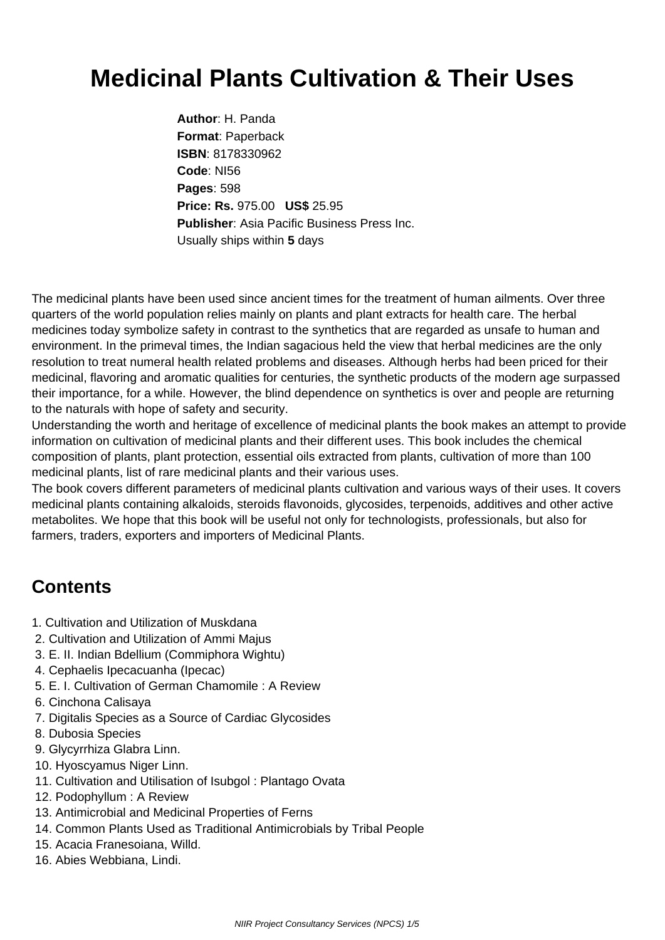## **Medicinal Plants Cultivation & Their Uses**

**Author**: H. Panda **Format**: Paperback **ISBN**: 8178330962 **Code**: NI56 **Pages**: 598 **Price: Rs.** 975.00 **US\$** 25.95 **Publisher**: Asia Pacific Business Press Inc. Usually ships within **5** days

The medicinal plants have been used since ancient times for the treatment of human ailments. Over three quarters of the world population relies mainly on plants and plant extracts for health care. The herbal medicines today symbolize safety in contrast to the synthetics that are regarded as unsafe to human and environment. In the primeval times, the Indian sagacious held the view that herbal medicines are the only resolution to treat numeral health related problems and diseases. Although herbs had been priced for their medicinal, flavoring and aromatic qualities for centuries, the synthetic products of the modern age surpassed their importance, for a while. However, the blind dependence on synthetics is over and people are returning to the naturals with hope of safety and security.

Understanding the worth and heritage of excellence of medicinal plants the book makes an attempt to provide information on cultivation of medicinal plants and their different uses. This book includes the chemical composition of plants, plant protection, essential oils extracted from plants, cultivation of more than 100 medicinal plants, list of rare medicinal plants and their various uses.

The book covers different parameters of medicinal plants cultivation and various ways of their uses. It covers medicinal plants containing alkaloids, steroids flavonoids, glycosides, terpenoids, additives and other active metabolites. We hope that this book will be useful not only for technologists, professionals, but also for farmers, traders, exporters and importers of Medicinal Plants.

## **Contents**

- 1. Cultivation and Utilization of Muskdana
- 2. Cultivation and Utilization of Ammi Majus
- 3. E. II. Indian Bdellium (Commiphora Wightu)
- 4. Cephaelis Ipecacuanha (Ipecac)
- 5. E. I. Cultivation of German Chamomile : A Review
- 6. Cinchona Calisaya
- 7. Digitalis Species as a Source of Cardiac Glycosides
- 8. Dubosia Species
- 9. Glycyrrhiza Glabra Linn.
- 10. Hyoscyamus Niger Linn.
- 11. Cultivation and Utilisation of Isubgol : Plantago Ovata
- 12. Podophyllum : A Review
- 13. Antimicrobial and Medicinal Properties of Ferns
- 14. Common Plants Used as Traditional Antimicrobials by Tribal People
- 15. Acacia Franesoiana, Willd.
- 16. Abies Webbiana, Lindi.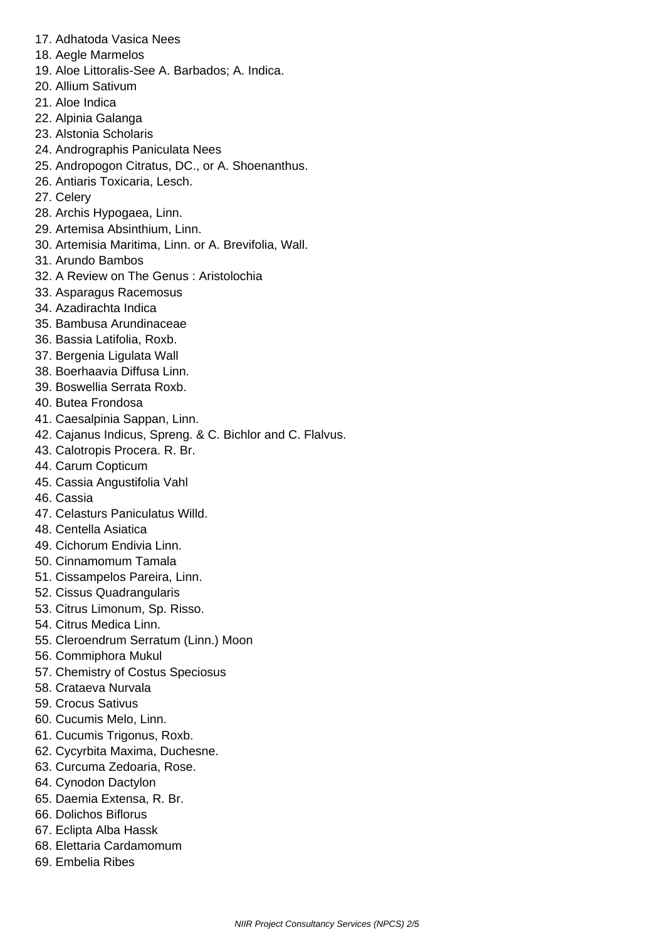- 17. Adhatoda Vasica Nees
- 18. Aegle Marmelos
- 19. Aloe Littoralis-See A. Barbados; A. Indica.
- 20. Allium Sativum
- 21. Aloe Indica
- 22. Alpinia Galanga
- 23. Alstonia Scholaris
- 24. Andrographis Paniculata Nees
- 25. Andropogon Citratus, DC., or A. Shoenanthus.
- 26. Antiaris Toxicaria, Lesch.
- 27. Celery
- 28. Archis Hypogaea, Linn.
- 29. Artemisa Absinthium, Linn.
- 30. Artemisia Maritima, Linn. or A. Brevifolia, Wall.
- 31. Arundo Bambos
- 32. A Review on The Genus : Aristolochia
- 33. Asparagus Racemosus
- 34. Azadirachta Indica
- 35. Bambusa Arundinaceae
- 36. Bassia Latifolia, Roxb.
- 37. Bergenia Ligulata Wall
- 38. Boerhaavia Diffusa Linn.
- 39. Boswellia Serrata Roxb.
- 40. Butea Frondosa
- 41. Caesalpinia Sappan, Linn.
- 42. Cajanus Indicus, Spreng. & C. Bichlor and C. Flalvus.
- 43. Calotropis Procera. R. Br.
- 44. Carum Copticum
- 45. Cassia Angustifolia Vahl
- 46. Cassia
- 47. Celasturs Paniculatus Willd.
- 48. Centella Asiatica
- 49. Cichorum Endivia Linn.
- 50. Cinnamomum Tamala
- 51. Cissampelos Pareira, Linn.
- 52. Cissus Quadrangularis
- 53. Citrus Limonum, Sp. Risso.
- 54. Citrus Medica Linn.
- 55. Cleroendrum Serratum (Linn.) Moon
- 56. Commiphora Mukul
- 57. Chemistry of Costus Speciosus
- 58. Crataeva Nurvala
- 59. Crocus Sativus
- 60. Cucumis Melo, Linn.
- 61. Cucumis Trigonus, Roxb.
- 62. Cycyrbita Maxima, Duchesne.
- 63. Curcuma Zedoaria, Rose.
- 64. Cynodon Dactylon
- 65. Daemia Extensa, R. Br.
- 66. Dolichos Biflorus
- 67. Eclipta Alba Hassk
- 68. Elettaria Cardamomum
- 69. Embelia Ribes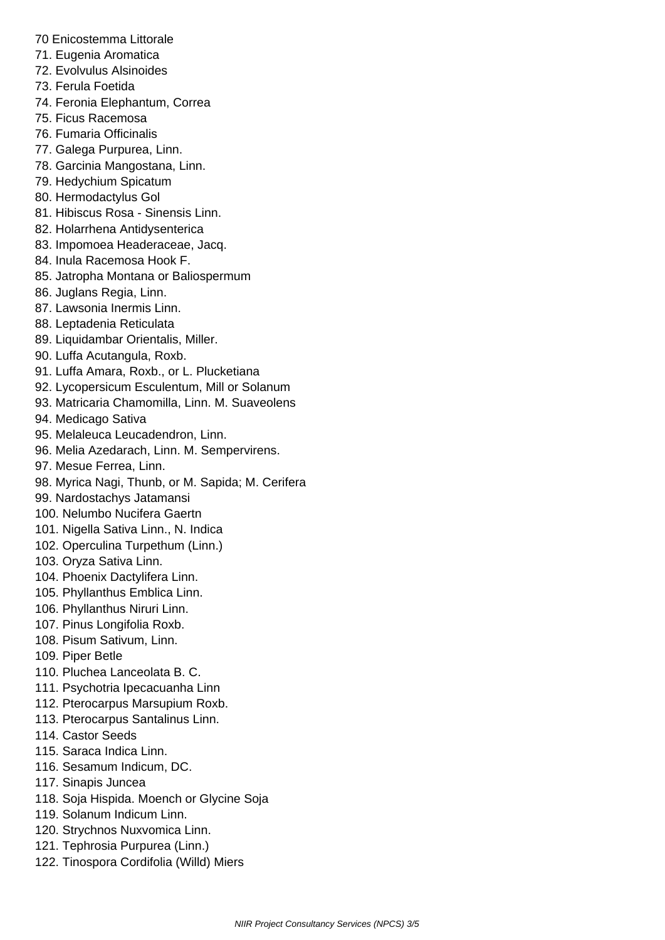- 70 Enicostemma Littorale
- 71. Eugenia Aromatica
- 72. Evolvulus Alsinoides
- 73. Ferula Foetida
- 74. Feronia Elephantum, Correa
- 75. Ficus Racemosa
- 76. Fumaria Officinalis
- 77. Galega Purpurea, Linn.
- 78. Garcinia Mangostana, Linn.
- 79. Hedychium Spicatum
- 80. Hermodactylus Gol
- 81. Hibiscus Rosa Sinensis Linn.
- 82. Holarrhena Antidysenterica
- 83. Impomoea Headeraceae, Jacq.
- 84. Inula Racemosa Hook F.
- 85. Jatropha Montana or Baliospermum
- 86. Juglans Regia, Linn.
- 87. Lawsonia Inermis Linn.
- 88. Leptadenia Reticulata
- 89. Liquidambar Orientalis, Miller.
- 90. Luffa Acutangula, Roxb.
- 91. Luffa Amara, Roxb., or L. Plucketiana
- 92. Lycopersicum Esculentum, Mill or Solanum
- 93. Matricaria Chamomilla, Linn. M. Suaveolens
- 94. Medicago Sativa
- 95. Melaleuca Leucadendron, Linn.
- 96. Melia Azedarach, Linn. M. Sempervirens.
- 97. Mesue Ferrea, Linn.
- 98. Myrica Nagi, Thunb, or M. Sapida; M. Cerifera
- 99. Nardostachys Jatamansi
- 100. Nelumbo Nucifera Gaertn
- 101. Nigella Sativa Linn., N. Indica
- 102. Operculina Turpethum (Linn.)
- 103. Oryza Sativa Linn.
- 104. Phoenix Dactylifera Linn.
- 105. Phyllanthus Emblica Linn.
- 106. Phyllanthus Niruri Linn.
- 107. Pinus Longifolia Roxb.
- 108. Pisum Sativum, Linn.

109. Piper Betle

- 110. Pluchea Lanceolata B. C.
- 111. Psychotria Ipecacuanha Linn
- 112. Pterocarpus Marsupium Roxb.
- 113. Pterocarpus Santalinus Linn.
- 114. Castor Seeds
- 115. Saraca Indica Linn.
- 116. Sesamum Indicum, DC.
- 117. Sinapis Juncea
- 118. Soja Hispida. Moench or Glycine Soja
- 119. Solanum Indicum Linn.
- 120. Strychnos Nuxvomica Linn.
- 121. Tephrosia Purpurea (Linn.)
- 122. Tinospora Cordifolia (Willd) Miers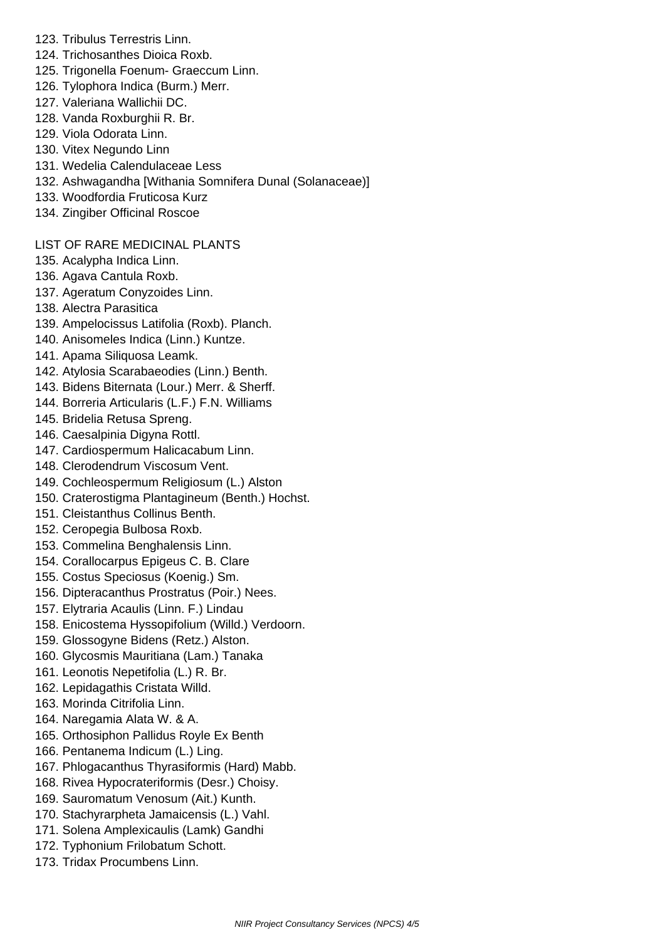- 123. Tribulus Terrestris Linn.
- 124. Trichosanthes Dioica Roxb.
- 125. Trigonella Foenum- Graeccum Linn.
- 126. Tylophora Indica (Burm.) Merr.
- 127. Valeriana Wallichii DC.
- 128. Vanda Roxburghii R. Br.
- 129. Viola Odorata Linn.
- 130. Vitex Negundo Linn
- 131. Wedelia Calendulaceae Less
- 132. Ashwagandha [Withania Somnifera Dunal (Solanaceae)]
- 133. Woodfordia Fruticosa Kurz
- 134. Zingiber Officinal Roscoe

## LIST OF RARE MEDICINAL PLANTS

- 135. Acalypha Indica Linn.
- 136. Agava Cantula Roxb.
- 137. Ageratum Conyzoides Linn.
- 138. Alectra Parasitica
- 139. Ampelocissus Latifolia (Roxb). Planch.
- 140. Anisomeles Indica (Linn.) Kuntze.
- 141. Apama Siliquosa Leamk.
- 142. Atylosia Scarabaeodies (Linn.) Benth.
- 143. Bidens Biternata (Lour.) Merr. & Sherff.
- 144. Borreria Articularis (L.F.) F.N. Williams
- 145. Bridelia Retusa Spreng.
- 146. Caesalpinia Digyna Rottl.
- 147. Cardiospermum Halicacabum Linn.
- 148. Clerodendrum Viscosum Vent.
- 149. Cochleospermum Religiosum (L.) Alston
- 150. Craterostigma Plantagineum (Benth.) Hochst.
- 151. Cleistanthus Collinus Benth.
- 152. Ceropegia Bulbosa Roxb.
- 153. Commelina Benghalensis Linn.
- 154. Corallocarpus Epigeus C. B. Clare
- 155. Costus Speciosus (Koenig.) Sm.
- 156. Dipteracanthus Prostratus (Poir.) Nees.
- 157. Elytraria Acaulis (Linn. F.) Lindau
- 158. Enicostema Hyssopifolium (Willd.) Verdoorn.
- 159. Glossogyne Bidens (Retz.) Alston.
- 160. Glycosmis Mauritiana (Lam.) Tanaka
- 161. Leonotis Nepetifolia (L.) R. Br.
- 162. Lepidagathis Cristata Willd.
- 163. Morinda Citrifolia Linn.
- 164. Naregamia Alata W. & A.
- 165. Orthosiphon Pallidus Royle Ex Benth
- 166. Pentanema Indicum (L.) Ling.
- 167. Phlogacanthus Thyrasiformis (Hard) Mabb.
- 168. Rivea Hypocrateriformis (Desr.) Choisy.
- 169. Sauromatum Venosum (Ait.) Kunth.
- 170. Stachyrarpheta Jamaicensis (L.) Vahl.
- 171. Solena Amplexicaulis (Lamk) Gandhi
- 172. Typhonium Frilobatum Schott.
- 173. Tridax Procumbens Linn.